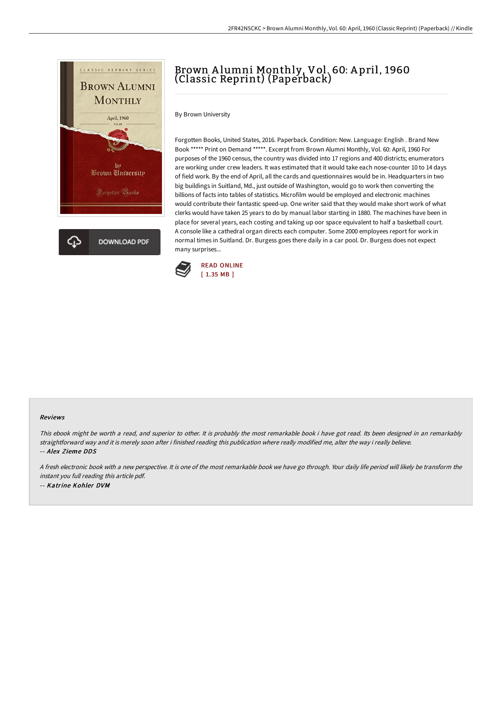

# Brown A lumni Monthly, Vol. 60: A pril, 1960 (Classic Reprint) (Paperback)

By Brown University

Forgotten Books, United States, 2016. Paperback. Condition: New. Language: English . Brand New Book \*\*\*\*\* Print on Demand \*\*\*\*\*. Excerpt from Brown Alumni Monthly, Vol. 60: April, 1960 For purposes of the 1960 census, the country was divided into 17 regions and 400 districts; enumerators are working under crew leaders. It was estimated that it would take each nose-counter 10 to 14 days of field work. By the end of April, all the cards and questionnaires would be in. Headquarters in two big buildings in Suitland, Md., just outside of Washington, would go to work then converting the billions of facts into tables of statistics. Microfilm would be employed and electronic machines would contribute their fantastic speed-up. One writer said that they would make short work of what clerks would have taken 25 years to do by manual labor starting in 1880. The machines have been in place for several years, each costing and taking up oor space equivalent to half a basketball court. A console like a cathedral organ directs each computer. Some 2000 employees report for work in normal times in Suitland. Dr. Burgess goes there daily in a car pool. Dr. Burgess does not expect many surprises...



#### Reviews

This ebook might be worth <sup>a</sup> read, and superior to other. It is probably the most remarkable book i have got read. Its been designed in an remarkably straightforward way and it is merely soon after i finished reading this publication where really modified me, alter the way i really believe. -- Alex Zieme DDS

<sup>A</sup> fresh electronic book with <sup>a</sup> new perspective. It is one of the most remarkable book we have go through. Your daily life period will likely be transform the instant you full reading this article pdf. -- Katrine Kohler DVM